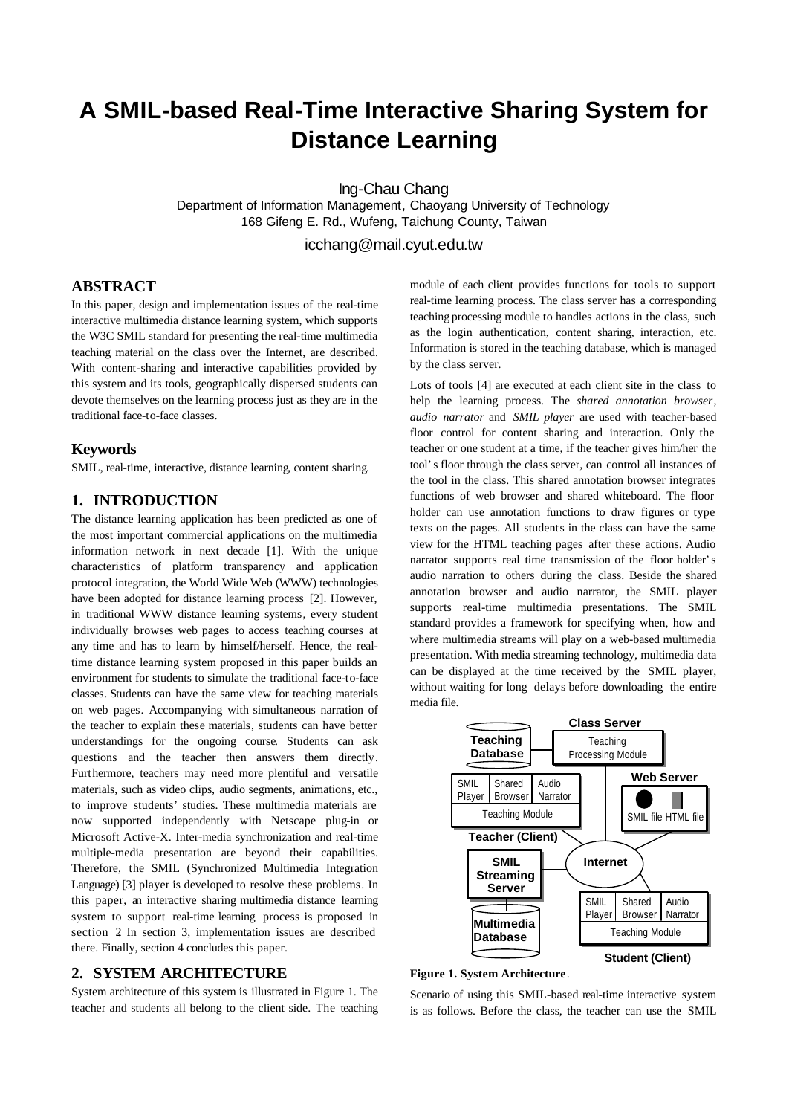# **A SMIL-based Real-Time Interactive Sharing System for Distance Learning**

Ing-Chau Chang

Department of Information Management, Chaoyang University of Technology 168 Gifeng E. Rd., Wufeng, Taichung County, Taiwan

icchang@mail.cyut.edu.tw

# **ABSTRACT**

In this paper, design and implementation issues of the real-time interactive multimedia distance learning system, which supports the W3C SMIL standard for presenting the real-time multimedia teaching material on the class over the Internet, are described. With content-sharing and interactive capabilities provided by this system and its tools, geographically dispersed students can devote themselves on the learning process just as they are in the traditional face-to-face classes.

## **Keywords**

SMIL, real-time, interactive, distance learning, content sharing.

## **1. INTRODUCTION**

The distance learning application has been predicted as one of the most important commercial applications on the multimedia information network in next decade [1]. With the unique characteristics of platform transparency and application protocol integration, the World Wide Web (WWW) technologies have been adopted for distance learning process [2]. However, in traditional WWW distance learning systems, every student individually browses web pages to access teaching courses at any time and has to learn by himself/herself. Hence, the realtime distance learning system proposed in this paper builds an environment for students to simulate the traditional face-to-face classes. Students can have the same view for teaching materials on web pages. Accompanying with simultaneous narration of the teacher to explain these materials, students can have better understandings for the ongoing course. Students can ask questions and the teacher then answers them directly. Furthermore, teachers may need more plentiful and versatile materials, such as video clips, audio segments, animations, etc., to improve students' studies. These multimedia materials are now supported independently with Netscape plug-in or Microsoft Active-X. Inter-media synchronization and real-time multiple-media presentation are beyond their capabilities. Therefore, the SMIL (Synchronized Multimedia Integration Language) [3] player is developed to resolve these problems. In this paper, an interactive sharing multimedia distance learning system to support real-time learning process is proposed in section 2. In section 3, implementation issues are described there. Finally, section 4 concludes this paper.

## **2. SYSTEM ARCHITECTURE**

System architecture of this system is illustrated in Figure 1. The teacher and students all belong to the client side. The teaching module of each client provides functions for tools to support real-time learning process. The class server has a corresponding teaching processing module to handles actions in the class, such as the login authentication, content sharing, interaction, etc. Information is stored in the teaching database, which is managed by the class server.

Lots of tools [4] are executed at each client site in the class to help the learning process. The *shared annotation browser*, *audio narrator* and *SMIL player* are used with teacher-based floor control for content sharing and interaction. Only the teacher or one student at a time, if the teacher gives him/her the tool's floor through the class server, can control all instances of the tool in the class. This shared annotation browser integrates functions of web browser and shared whiteboard. The floor holder can use annotation functions to draw figures or type texts on the pages. All students in the class can have the same view for the HTML teaching pages after these actions. Audio narrator supports real time transmission of the floor holder's audio narration to others during the class. Beside the shared annotation browser and audio narrator, the SMIL player supports real-time multimedia presentations. The SMIL standard provides a framework for specifying when, how and where multimedia streams will play on a web-based multimedia presentation. With media streaming technology, multimedia data can be displayed at the time received by the SMIL player, without waiting for long delays before downloading the entire media file.



**Figure 1. System Architecture**.

Scenario of using this SMIL-based real-time interactive system is as follows. Before the class, the teacher can use the SMIL